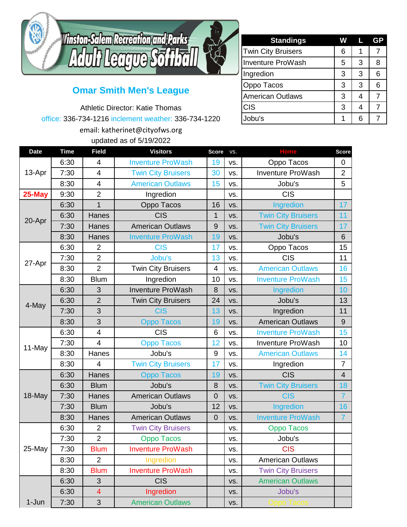

## **Omar Smith Men's League**

Athletic Director: Katie Thomas office: 336-734-1216 inclement weather: 336-734-1220 email: katherinet@cityofws.org updated as of 5/19/2022

| <b>Standings</b>          | w | ш              | GP |
|---------------------------|---|----------------|----|
| <b>Twin City Bruisers</b> | 6 | 1              |    |
| <b>Inventure ProWash</b>  | 5 | 3              | 8  |
| Ingredion                 | 3 | 3              | 6  |
| Oppo Tacos                | 3 | 3              | 6  |
| <b>American Outlaws</b>   | 3 | 4              |    |
| <b>CIS</b>                | 3 | $\overline{4}$ |    |
| Jobu's                    |   | 6              |    |

|             |             |                          | $apacoot$ $ao$ $o$ , $o$ , $o$ , $EozE$ |                |     |                           |                |
|-------------|-------------|--------------------------|-----------------------------------------|----------------|-----|---------------------------|----------------|
| <b>Date</b> | <b>Time</b> | <b>Field</b>             | <b>Visitors</b>                         | <b>Score</b>   | VS. | <b>Home</b>               | <b>Score</b>   |
| 13-Apr      | 6:30        | 4                        | <b>Inventure ProWash</b>                | 19             | VS. | Oppo Tacos                | 0              |
|             | 7:30        | 4                        | <b>Twin City Bruisers</b>               | 30             | VS. | Inventure ProWash         | $\overline{2}$ |
|             | 8:30        | $\overline{4}$           | <b>American Outlaws</b>                 | 15             | VS. | Jobu's                    | 5              |
| 25-May      | 9:30        | $\overline{2}$           | Ingredion                               |                | VS. | <b>CIS</b>                |                |
| 20-Apr      | 6:30        | $\mathbf{1}$             | Oppo Tacos                              | 16             | VS. | Ingredion                 | 17             |
|             | 6:30        | Hanes                    | <b>CIS</b>                              | 1              | VS. | <b>Twin City Bruisers</b> | 11             |
|             | 7:30        | Hanes                    | <b>American Outlaws</b>                 | 9              | VS. | <b>Twin City Bruisers</b> | 17             |
|             | 8:30        | Hanes                    | <b>Inventure ProWash</b>                | 19             | VS. | Jobu's                    | 6              |
| 27-Apr      | 6:30        | $\overline{2}$           | <b>CIS</b>                              | 17             | VS. | Oppo Tacos                | 15             |
|             | 7:30        | $\overline{2}$           | Jobu's                                  | 13             | VS. | <b>CIS</b>                | 11             |
|             | 8:30        | $\overline{2}$           | <b>Twin City Bruisers</b>               | $\overline{4}$ | VS. | <b>American Outlaws</b>   | 16             |
|             | 8:30        | <b>Blum</b>              | Ingredion                               | 10             | VS. | <b>Inventure ProWash</b>  | 15             |
| 4-May       | 6:30        | 3                        | <b>Inventure ProWash</b>                | 8              | VS. | Ingredion                 | 10             |
|             | 6:30        | $\overline{2}$           | <b>Twin City Bruisers</b>               | 24             | VS. | Jobu's                    | 13             |
|             | 7:30        | 3                        | <b>CIS</b>                              | 13             | VS. | Ingredion                 | 11             |
|             | 8:30        | 3                        | <b>Oppo Tacos</b>                       | 19             | VS. | <b>American Outlaws</b>   | $9\,$          |
| 11-May      | 6:30        | $\overline{\mathbf{4}}$  | <b>CIS</b>                              | 6              | VS. | <b>Inventure ProWash</b>  | 15             |
|             | 7:30        | $\overline{4}$           | <b>Oppo Tacos</b>                       | 12             | VS. | <b>Inventure ProWash</b>  | 10             |
|             | 8:30        | Hanes                    | Jobu's                                  | 9              | VS. | <b>American Outlaws</b>   | 14             |
|             | 8:30        | $\overline{4}$           | <b>Twin City Bruisers</b>               | 17             | VS. | Ingredion                 | $\overline{7}$ |
|             | 6:30        | Hanes                    | <b>Oppo Tacos</b>                       | 19             | VS. | <b>CIS</b>                | $\overline{4}$ |
|             | 6:30        | <b>Blum</b>              | Jobu's                                  | 8              | VS. | <b>Twin City Bruisers</b> | 18             |
| 18-May      | 7:30        | Hanes                    | <b>American Outlaws</b>                 | $\overline{0}$ | VS. | <b>CIS</b>                | $\overline{7}$ |
|             | 7:30        | <b>Blum</b>              | Jobu's                                  | 12             | VS. | Ingredion                 | 16             |
|             | 8:30        | Hanes                    | <b>American Outlaws</b>                 | $\overline{0}$ | VS. | <b>Inventure ProWash</b>  | $\overline{7}$ |
| 25-May      | 6:30        | $\overline{2}$           | <b>Twin City Bruisers</b>               |                | VS. | <b>Oppo Tacos</b>         |                |
|             | 7:30        | $\overline{2}$           | Oppo Tacos                              |                | VS. | Jobu's                    |                |
|             | 7:30        | <b>Blum</b>              | <b>Inventure ProWash</b>                |                | VS. | <b>CIS</b>                |                |
|             | 8:30        | $\overline{2}$           | Ingredion                               |                | VS. | <b>American Outlaws</b>   |                |
|             | 8:30        | <b>Blum</b>              | <b>Inventure ProWash</b>                |                | VS. | <b>Twin City Bruisers</b> |                |
|             | 6:30        | 3                        | <b>CIS</b>                              |                | VS. | <b>American Outlaws</b>   |                |
|             | 6:30        | $\overline{\mathcal{A}}$ | Ingredion                               |                | VS. | Jobu's                    |                |
| 1-Jun       | 7:30        | 3                        | <b>American Outlaws</b>                 |                | VS. |                           |                |